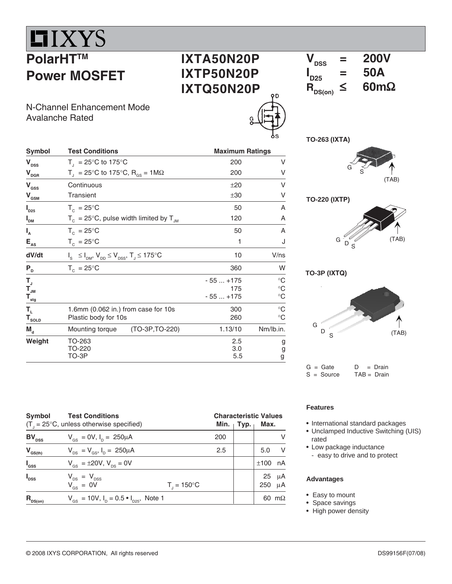## IIXYS **PolarHTTM Power MOSFET**

 $I_{D25}$ 

**I**

**I**

**dV/dt** I

**IXTA50N20P IXTP50N20P IXTQ50N20P**  $V_{\text{rec}}$  = 200V  $\mathbf{I}_{D25}$  $= 50A$ <br> $\leq 60 \text{m}\Omega$  $R_{DS(on)}$ 

N-Channel Enhancement Mode Avalanche Rated

Plastic body for 10s

**TO-263 (IXTA)**

| <b>Symbol</b>                  | <b>Test Conditions</b>                                              | <b>Maximum Ratings</b> |      |                    |
|--------------------------------|---------------------------------------------------------------------|------------------------|------|--------------------|
| V <sub>DSS</sub>               | $T_{\text{I}}$ = 25°C to 175°C                                      | 200                    |      |                    |
| V <sub>dgr</sub>               | $T_{\text{d}}$ = 25°C to 175°C, R <sub>os</sub> = 1MΩ               | 200                    |      |                    |
| V <sub>ass</sub>               | Continuous                                                          | ±20                    |      |                    |
| $\mathsf{V}_{_{\mathsf{GSM}}}$ | Transient                                                           | ±30                    | v    | <b>TO-220 (IXT</b> |
| $I_{D25}$                      | $T_c = 25^{\circ}C$                                                 | 50                     | A    |                    |
| "DM                            | $T_c = 25^{\circ}$ C, pulse width limited by $T_{JM}$               | 120                    | A    |                    |
| $\mathsf{I}_{\mathsf{A}}$      | $T_c = 25^{\circ}C$                                                 | 50                     | A    |                    |
| $E_{\rm{as}}$                  | $T_c = 25^{\circ}C$                                                 |                        | ٠J   | G                  |
| dV/dt                          | $I_s \leq I_{DM}$ , $V_{DD} \leq V_{DSS}$ , $T_s \leq 175^{\circ}C$ | 10                     | V/ns |                    |





**TO-3P (IXTQ)**



 $G = Gate$   $D = Drain$ <br> $S = Source$   $TAB = Drain$  $S = Source$ 

| Symbol           | <b>Test Conditions</b><br>$(T_{1} = 25^{\circ}C$ , unless otherwise specified) | <b>Characteristic Values</b><br>Typ.<br>Min. $\vert$ |     |  |           |               |  |
|------------------|--------------------------------------------------------------------------------|------------------------------------------------------|-----|--|-----------|---------------|--|
| $BV_{DSS}$       | $V_{\text{gs}} = 0 V, I_{\text{p}} = 250 \mu A$                                |                                                      | 200 |  |           | v             |  |
| $V_{GS(th)}$     | $V_{DS} = V_{GS}$ , $I_D = 250 \mu A$                                          |                                                      | 2.5 |  | 5.0       | - V           |  |
| $I_{\rm dss}$    | $V_{\text{es}} = \pm 20 V, V_{\text{es}} = 0V$                                 |                                                      |     |  | ±100      | nA            |  |
| $I_{\text{DSS}}$ | $V_{DS} = V_{DSS}$<br>$V_{GS} = 0V$                                            | $T_{1} = 150^{\circ}C$                               |     |  | 25<br>250 | $\mu$ A<br>μA |  |
| $R_{DS(on)}$     | $V_{\text{gs}} = 10V$ , $I_{\text{D}} = 0.5 \cdot I_{\text{D25}}$ , Note 1     |                                                      |     |  |           | 60 $m\Omega$  |  |

**P<sub>D</sub>**  $T_c = 25^{\circ}$ C 360 W **TJ** - 55 ... +175 °C  $T_{\text{JM}}$  and  $\text{L}$  175  $\text{C}$  $T_{\text{cm}}$  175 °C<br>  $T_{\text{st}}$  - 55 ... +175 °C

 $T_L$  1.6mm (0.062 in.) from case for 10s 300 °C<br>
Plastic body for 10s 260 °C

**M<sub>d</sub>** Mounting torque (TO-3P,TO-220) 1.13/10 Nm/lb.in. **Weight** TO-263 2.5 g

> $TO-220$  g  $\mathsf{TO}\text{-}\mathsf{3P}$  g  $\mathsf{5.5}$  g

#### **Features**

- International standard packages
- Unclamped Inductive Switching (UIS) rated
- Low package inductance
	- easy to drive and to protect

#### **Advantages**

- Easy to mount
- Space savings
- High power density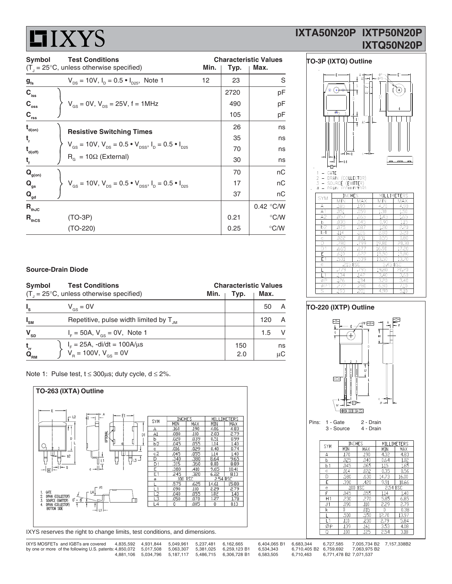# **HIXYS**

## **IXTA50N20P IXTP50N20P IXTQ50N20P**

| Symbol                                  | <b>Test Conditions</b>                                                                                         | <b>Characteristic Values</b> |      |               |  |  |
|-----------------------------------------|----------------------------------------------------------------------------------------------------------------|------------------------------|------|---------------|--|--|
|                                         | $(T1 = 25°C$ , unless otherwise specified)                                                                     | Min.                         | Typ. | Max.          |  |  |
| $g_{\rm fs}$                            | $V_{DS}$ = 10V, $I_D$ = 0.5 $\bullet$ $I_{D25}$ , Note 1                                                       | 12                           | 23   | S             |  |  |
| $C_{\rm iss}$                           |                                                                                                                |                              | 2720 | pF            |  |  |
| $C_{\rm oss}$                           | $V_{\text{gs}} = 0V$ , $V_{\text{ps}} = 25V$ , f = 1MHz                                                        |                              | 490  | pF            |  |  |
| $C_{rss}$                               |                                                                                                                |                              | 105  | pF            |  |  |
| $\mathbf{t}_{\mathsf{d}(\mathsf{on})}$  | <b>Resistive Switching Times</b>                                                                               |                              | 26   | ns            |  |  |
| t,                                      |                                                                                                                |                              | 35   | ns            |  |  |
| $\mathbf{t}_{\mathsf{d}(\mathsf{off})}$ | $V_{\text{gs}} = 10V$ , $V_{\text{ps}} = 0.5 \cdot V_{\text{pss}}$ , $I_{\text{p}} = 0.5 \cdot I_{\text{pss}}$ |                              | 70   | ns            |  |  |
| $t_{f}$                                 | $R_{\rm g} = 10\Omega$ (External)                                                                              |                              | 30   | ns            |  |  |
| $\mathbf{Q}_{\text{g(on)}}$             |                                                                                                                |                              | 70   | nC            |  |  |
| $\mathbf{Q}_{gs}$                       | $V_{\text{gs}} = 10V$ , $V_{\text{ps}} = 0.5 \cdot V_{\text{pss}}$ , $I_{\text{p}} = 0.5 \cdot I_{\text{pss}}$ |                              | 17   | пC            |  |  |
| $\mathbf{Q}_{\mathsf{gd}}$              |                                                                                                                |                              | 37   | nC            |  |  |
| $R_{thJC}$                              |                                                                                                                |                              |      | 0.42 °C/W     |  |  |
| $R_{\text{thCS}}$                       | $(TO-3P)$                                                                                                      |                              | 0.21 | $\degree$ C/W |  |  |
|                                         | $(TO-220)$                                                                                                     |                              | 0.25 | $\degree$ C/W |  |  |



 $\overline{147}$ 

 $3.40$ 

 $\overline{3.20}$ 

3.60

.40

 $\overline{e}$ 

 $\mathsf{L}$ 

 $\phi$ F

 $.134$ 

### **Source-Drain Diode**

| Symbol                                                    | <b>Test Conditions</b><br>$(T1 = 25°C, unless otherwise specified)$           | Min. | Typ.       | <b>Characteristic Values</b><br>Max. |               |
|-----------------------------------------------------------|-------------------------------------------------------------------------------|------|------------|--------------------------------------|---------------|
| $I_{s}$                                                   | $V_{\text{gs}} = 0V$                                                          |      |            | 50                                   | A             |
| $I_{\rm SM}$                                              | Repetitive, pulse width limited by $T_{\mu}$                                  |      |            | 120                                  | A             |
| $\mathbf{V}_{\text{SD}}$                                  | $I_{F} = 50A, V_{gs} = 0V,$ Note 1                                            |      |            | 1.5                                  | -V            |
| $\mathbf{t}_\mathrm{rr}$<br>$\mathbf{Q}_{_{\mathsf{RM}}}$ | $I_F = 25A$ , -di/dt = 100A/µs<br>V <sub>B</sub> = 100V, V <sub>GS</sub> = 0V |      | 150<br>2.0 |                                      | ns<br>$\mu$ C |

Note 1: Pulse test,  $t \le 300 \mu s$ ; duty cycle,  $d \le 2\%$ .



IXYS reserves the right to change limits, test conditions, and dimensions.

| IXYS MOSFETs and IGBTs are covered                                                                 |  | 4.835.592  4.931.844  5.049.961  5.237.481  6.162.665 |                                                           | 6,404,065 B1 6,683,344 6,727,585 7,005,734 B2 7,157,338B2 |                                  |                                     |  |
|----------------------------------------------------------------------------------------------------|--|-------------------------------------------------------|-----------------------------------------------------------|-----------------------------------------------------------|----------------------------------|-------------------------------------|--|
| by one or more of the following U.S. patents: 4,850,072 5,017,508 5,063,307 5,381,025 6,259,123 B1 |  |                                                       |                                                           | 6.534.343                                                 |                                  | 6.710.405 B2 6.759.692 7.063.975 B2 |  |
|                                                                                                    |  |                                                       | 4.881.106  5.034.796  5.187.117  5.486.715  6.306.728  B1 | 6.583.505                                                 | 6.710.463 6.771.478 B2 7.071.537 |                                     |  |

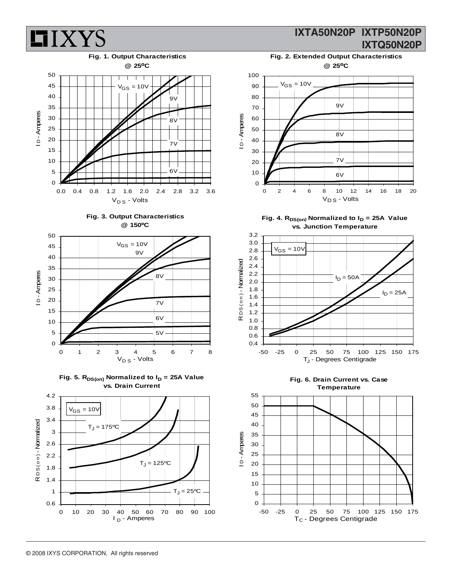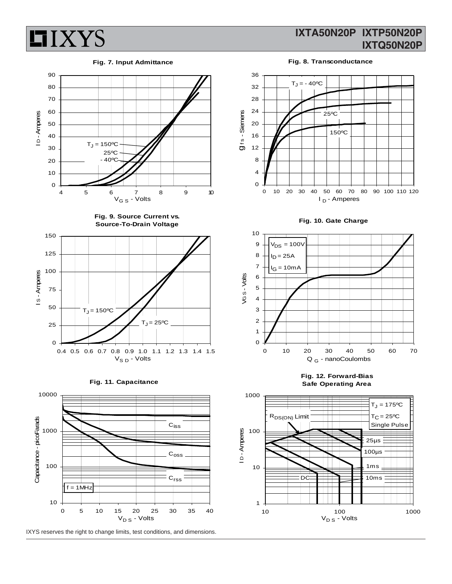

#### **Fig. 7. Input Admittance**



**Fig. 9. Source Current vs. Source-To-Drain Voltage**







IXYS reserves the right to change limits, test conditions, and dimensions.

## **IXTA50N20P IXTP50N20P IXTQ50N20P**

**Fig. 8. Transconductance** 







**Fig. 12. Forward-Bias Safe Operating Area**